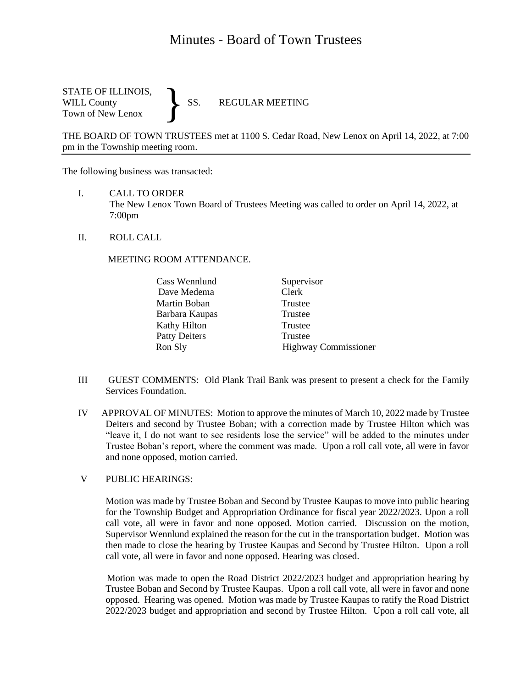# Minutes - Board of Town Trustees

STATE OF ILLINOIS,<br>WILL County SS. WILL County SS. REGULAR MEETING Town of New Lenox }

THE BOARD OF TOWN TRUSTEES met at 1100 S. Cedar Road, New Lenox on April 14, 2022, at 7:00 pm in the Township meeting room.

The following business was transacted:

- I. CALL TO ORDER The New Lenox Town Board of Trustees Meeting was called to order on April 14, 2022, at 7:00pm
- II. ROLL CALL

#### MEETING ROOM ATTENDANCE.

| Cass Wennlund        | Supervisor                  |
|----------------------|-----------------------------|
| Dave Medema          | Clerk                       |
| Martin Boban         | Trustee                     |
| Barbara Kaupas       | Trustee                     |
| Kathy Hilton         | Trustee                     |
| <b>Patty Deiters</b> | Trustee                     |
| Ron Sly              | <b>Highway Commissioner</b> |

- III GUEST COMMENTS: Old Plank Trail Bank was present to present a check for the Family Services Foundation.
- IV APPROVAL OF MINUTES: Motion to approve the minutes of March 10, 2022 made by Trustee Deiters and second by Trustee Boban; with a correction made by Trustee Hilton which was "leave it, I do not want to see residents lose the service" will be added to the minutes under Trustee Boban's report, where the comment was made. Upon a roll call vote, all were in favor and none opposed, motion carried.

## V PUBLIC HEARINGS:

 Motion was made by Trustee Boban and Second by Trustee Kaupas to move into public hearing for the Township Budget and Appropriation Ordinance for fiscal year 2022/2023. Upon a roll call vote, all were in favor and none opposed. Motion carried. Discussion on the motion, Supervisor Wennlund explained the reason for the cut in the transportation budget. Motion was then made to close the hearing by Trustee Kaupas and Second by Trustee Hilton. Upon a roll call vote, all were in favor and none opposed. Hearing was closed.

 Motion was made to open the Road District 2022/2023 budget and appropriation hearing by Trustee Boban and Second by Trustee Kaupas. Upon a roll call vote, all were in favor and none opposed. Hearing was opened. Motion was made by Trustee Kaupas to ratify the Road District 2022/2023 budget and appropriation and second by Trustee Hilton. Upon a roll call vote, all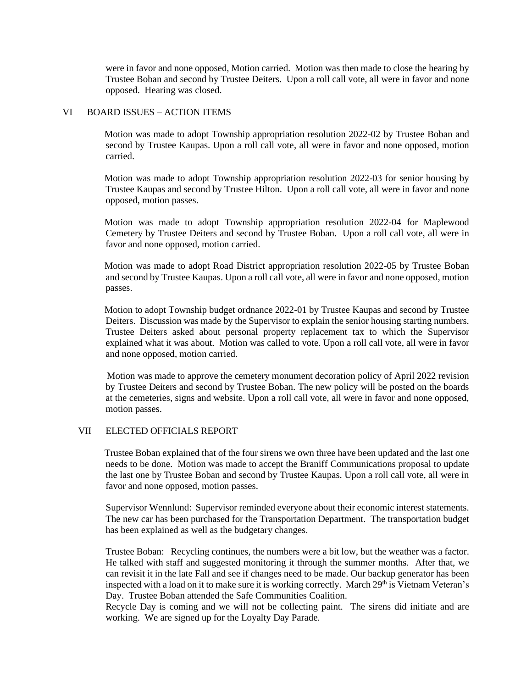were in favor and none opposed, Motion carried. Motion was then made to close the hearing by Trustee Boban and second by Trustee Deiters. Upon a roll call vote, all were in favor and none opposed. Hearing was closed.

### VI BOARD ISSUES – ACTION ITEMS

 Motion was made to adopt Township appropriation resolution 2022-02 by Trustee Boban and second by Trustee Kaupas. Upon a roll call vote, all were in favor and none opposed, motion carried.

 Motion was made to adopt Township appropriation resolution 2022-03 for senior housing by Trustee Kaupas and second by Trustee Hilton. Upon a roll call vote, all were in favor and none opposed, motion passes.

 Motion was made to adopt Township appropriation resolution 2022-04 for Maplewood Cemetery by Trustee Deiters and second by Trustee Boban. Upon a roll call vote, all were in favor and none opposed, motion carried.

 Motion was made to adopt Road District appropriation resolution 2022-05 by Trustee Boban and second by Trustee Kaupas. Upon a roll call vote, all were in favor and none opposed, motion passes.

 Motion to adopt Township budget ordnance 2022-01 by Trustee Kaupas and second by Trustee Deiters. Discussion was made by the Supervisor to explain the senior housing starting numbers. Trustee Deiters asked about personal property replacement tax to which the Supervisor explained what it was about. Motion was called to vote. Upon a roll call vote, all were in favor and none opposed, motion carried.

 Motion was made to approve the cemetery monument decoration policy of April 2022 revision by Trustee Deiters and second by Trustee Boban. The new policy will be posted on the boards at the cemeteries, signs and website. Upon a roll call vote, all were in favor and none opposed, motion passes.

## VII ELECTED OFFICIALS REPORT

 Trustee Boban explained that of the four sirens we own three have been updated and the last one needs to be done. Motion was made to accept the Braniff Communications proposal to update the last one by Trustee Boban and second by Trustee Kaupas. Upon a roll call vote, all were in favor and none opposed, motion passes.

 Supervisor Wennlund: Supervisor reminded everyone about their economic interest statements. The new car has been purchased for the Transportation Department. The transportation budget has been explained as well as the budgetary changes.

Trustee Boban: Recycling continues, the numbers were a bit low, but the weather was a factor. He talked with staff and suggested monitoring it through the summer months. After that, we can revisit it in the late Fall and see if changes need to be made. Our backup generator has been inspected with a load on it to make sure it is working correctly. March 29<sup>th</sup> is Vietnam Veteran's Day. Trustee Boban attended the Safe Communities Coalition.

Recycle Day is coming and we will not be collecting paint. The sirens did initiate and are working. We are signed up for the Loyalty Day Parade.